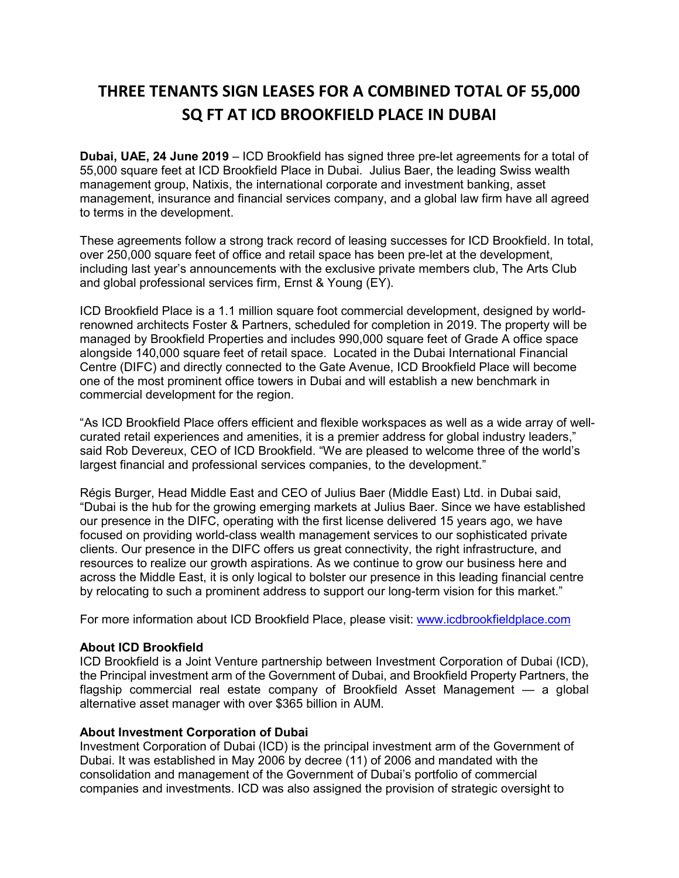# **THREE TENANTS SIGN LEASES FOR A COMBINED TOTAL OF 55,000 SQ FT AT ICD BROOKFIELD PLACE IN DUBAI**

**Dubai, UAE, 24 June 2019** – ICD Brookfield has signed three pre-let agreements for a total of 55,000 square feet at ICD Brookfield Place in Dubai. Julius Baer, the leading Swiss wealth management group, Natixis, the international corporate and investment banking, asset management, insurance and financial services company, and a global law firm have all agreed to terms in the development.

These agreements follow a strong track record of leasing successes for ICD Brookfield. In total, over 250,000 square feet of office and retail space has been pre-let at the development, including last year's announcements with the exclusive private members club, The Arts Club and global professional services firm, Ernst & Young (EY).

ICD Brookfield Place is a 1.1 million square foot commercial development, designed by worldrenowned architects Foster & Partners, scheduled for completion in 2019. The property will be managed by Brookfield Properties and includes 990,000 square feet of Grade A office space alongside 140,000 square feet of retail space. Located in the Dubai International Financial Centre (DIFC) and directly connected to the Gate Avenue, ICD Brookfield Place will become one of the most prominent office towers in Dubai and will establish a new benchmark in commercial development for the region.

"As ICD Brookfield Place offers efficient and flexible workspaces as well as a wide array of wellcurated retail experiences and amenities, it is a premier address for global industry leaders," said Rob Devereux, CEO of ICD Brookfield. "We are pleased to welcome three of the world's largest financial and professional services companies, to the development."

Régis Burger, Head Middle East and CEO of Julius Baer (Middle East) Ltd. in Dubai said, "Dubai is the hub for the growing emerging markets at Julius Baer. Since we have established our presence in the DIFC, operating with the first license delivered 15 years ago, we have focused on providing world-class wealth management services to our sophisticated private clients. Our presence in the DIFC offers us great connectivity, the right infrastructure, and resources to realize our growth aspirations. As we continue to grow our business here and across the Middle East, it is only logical to bolster our presence in this leading financial centre by relocating to such a prominent address to support our long-term vision for this market."

For more information about ICD Brookfield Place, please visit: [www.icdbrookfieldplace.com](http://www.icdbrookfieldplace.com/)

## **About ICD Brookfield**

ICD Brookfield is a Joint Venture partnership between Investment Corporation of Dubai (ICD), the Principal investment arm of the Government of Dubai, and Brookfield Property Partners, the flagship commercial real estate company of Brookfield Asset Management — a global alternative asset manager with over \$365 billion in AUM.

## **About Investment Corporation of Dubai**

Investment Corporation of Dubai (ICD) is the principal investment arm of the Government of Dubai. It was established in May 2006 by decree (11) of 2006 and mandated with the consolidation and management of the Government of Dubai's portfolio of commercial companies and investments. ICD was also assigned the provision of strategic oversight to